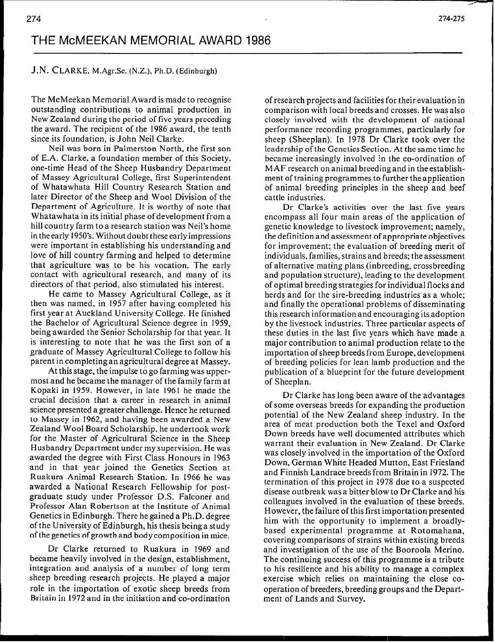## J.N. CLARKE, M.Agr.Sc. (N.Z.), Ph.D. (Edinburgh)

The McMeekan Memorial Award is made to recognise outstanding contributions to animal production in New Zealand during the period of five years preceding the award. The recipient of the 1986 award, the tenth since its foundation, is John Neil Clarke.

Neil was born in Palmerston North, the first son of E.A. Clarke, a foundation member of this Society, one-time Head of the Sheep Husbandry Department of Massey Agricultural College, first Superintendent of Whatawhata Hill Country Research Station and later Director of the Sheep and Wool Division of the Department of Agriculture. It is worthy of note that Whatawhata in its initial phase of development from a hill country farm to a research station was Neil's home in the early 1950's. Without doubt these early impressions were important in establishing his understanding and love of hill country farming and helped to determine that agriculture was to be his vocation. The early contact with agricultural research, and many of its directors of that period, also stimulated his interest.

He came to Massey Agricultural College, as it then was named, in 1957 after having completed his first year at Auckland University College. He finished the Bachelor of Agricultural Science degree in 1959, being awarded the Senior Scholarship for that year. It is interesting to note that he was the first son of a graduate of Massey Agricultural College to follow his parent in completing an agricultural degree at Massey.

At this stage, the impulse to go farming was uppermost and he became the manager of the family farm at Kopaki in 1959. However, in late 1961 he made the crucial decision that a career in research in animal science presented a greater challenge. Hence he returned to Massey in 1962, and having been awarded a New Zealand Wool Board Scholarship, he undertook work for the Master of Agricultural Science in the Sheep Husbandry Department under my supervision. He was awarded the degree with First Class Honours in 1963 and in that year joined the Genetics Section at Ruakura Animal Research Station. In 1966 he was awarded a National Research Fellowship for postgraduate study under Professor D.S. Falconer and Professor Alan Robertson at the Institute of Animal Genetics in Edinburgh. There he gained a Ph.D. degree of the University of Edinburgh, his thesis being a study of thegenetics ofgrowthand body composition in mice.

Dr Clarke returned to Ruakura in 1969 and became heavily involved in the design, establishment, integration and analysis of a number of long term sheep breeding research projects. He played a major role in the importation of exotic sheep breeds from Britain in 1972 and in the initiation and co-ordination

of research projects and facilities for their evaluation in comparison with local breeds and crosses. He was also closely involved with the development of national performance recording programmes, particularly for sheep (Sheeplan). In 1978 Dr Clarke took over the leadership of the Genetics Section. At the same time he became increasingly involved in the co-ordination of MAF research on animal breeding and in the establishment of training programmes to further the application of animal breeding principles in the sheep and beef cattle industries.

Dr Clarke's activities over the last five years encompass all four main areas of the application of genetic knowledge to livestock improvement; namely, the definition and assessment of appropriate objectives for improvement: the evaluation of breeding merit of individuals, families, strains and breeds; the assessment of alternative mating plans (inbreeding, crossbreeding and population structure), leading to the development of optimal breeding strategies for individual flocks and herds and for the sire-breeding industries as a whole; and finally the operational problems of disseminating this research information and encouraging its adoption by the livestock industries. Three particular aspects of these duties in the last five years which have made a major contribution to animal production relate to the importation of sheep breeds from Europe, development of breeding policies for lean lamb production and the publication of a blueprint for the future development of Sheeplan.

Dr Clarke has long been aware of the advantages of some overseas breeds for expanding the production potential of the New Zealand sheep industry. In the area of meat production both the Texel and Oxford Down breeds have well documented attributes which warrant their evaluation in New Zealand. Dr Clarke was closely involved in the importation of the Oxford Down, German White Headed Mutton, East Friesland and Finnish Landrace breeds from Britain in 1972. The termination of this project in 1978 due to a suspected disease outbreak was a bitter blow to Dr Clarke and his colleagues involved in the evaluation of these breeds. However, the failure of this first importation presented him with the opportunity to implement a broadlybased experimental programme at Rotomahana, covering comparisons of strains within existing breeds and investigation of the use of the Booroola Merino. The continuing success of this programme is a tribute to his resilience and his ability to manage a complex exercise which relies on maintaining the close cooperation of breeders, breeding groups and the Department of Lands and Survey.